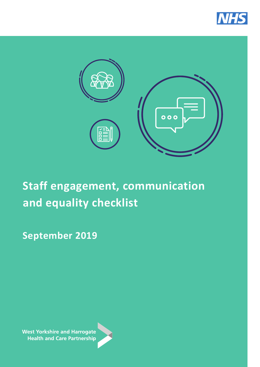



# **Staff engagement, communication and equality checklist**

**September 2019**

**West Yorkshire and Harrogate Health and Care Partnership** 

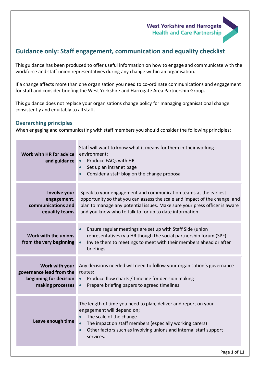# **Guidance only: Staff engagement, communication and equality checklist**

This guidance has been produced to offer useful information on how to engage and communicate with the workforce and staff union representatives during any change within an organisation.

If a change affects more than one organisation you need to co-ordinate communications and engagement for staff and consider briefing the West Yorkshire and Harrogate Area Partnership Group.

This guidance does not replace your organisations change policy for managing organisational change consistently and equitably to all staff.

# **Overarching principles**

When engaging and communicating with staff members you should consider the following principles:

| Work with HR for advice<br>and guidance                                                  | Staff will want to know what it means for them in their working<br>environment:<br>Produce FAQs with HR<br>$\bullet$<br>Set up an intranet page<br>$\bullet$<br>Consider a staff blog on the change proposal<br>$\bullet$                                                                       |
|------------------------------------------------------------------------------------------|-------------------------------------------------------------------------------------------------------------------------------------------------------------------------------------------------------------------------------------------------------------------------------------------------|
| Involve your<br>engagement,<br>communications and<br>equality teams                      | Speak to your engagement and communication teams at the earliest<br>opportunity so that you can assess the scale and impact of the change, and<br>plan to manage any potential issues. Make sure your press officer is aware<br>and you know who to talk to for up to date information.         |
| Work with the unions<br>from the very beginning                                          | Ensure regular meetings are set up with Staff Side (union<br>$\bullet$<br>representatives) via HR though the social partnership forum (SPF).<br>Invite them to meetings to meet with their members ahead or after<br>$\bullet$<br>briefings.                                                    |
| Work with your<br>governance lead from the<br>beginning for decision<br>making processes | Any decisions needed will need to follow your organisation's governance<br>routes:<br>Produce flow charts / timeline for decision making<br>$\bullet$<br>Prepare briefing papers to agreed timelines.<br>$\bullet$                                                                              |
| Leave enough time                                                                        | The length of time you need to plan, deliver and report on your<br>engagement will depend on;<br>The scale of the change<br>The impact on staff members (especially working carers)<br>$\bullet$<br>Other factors such as involving unions and internal staff support<br>$\bullet$<br>services. |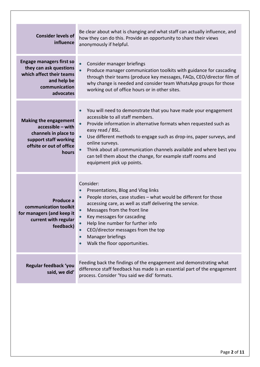| <b>Consider levels of</b><br>influence                                                                                                  | Be clear about what is changing and what staff can actually influence, and<br>how they can do this. Provide an opportunity to share their views<br>anonymously if helpful.                                                                                                                                                                                                                                                                                 |  |  |
|-----------------------------------------------------------------------------------------------------------------------------------------|------------------------------------------------------------------------------------------------------------------------------------------------------------------------------------------------------------------------------------------------------------------------------------------------------------------------------------------------------------------------------------------------------------------------------------------------------------|--|--|
| <b>Engage managers first so</b><br>they can ask questions<br>which affect their teams<br>and help be<br>communication<br>advocates      | Consider manager briefings<br>Produce manager communication toolkits with guidance for cascading<br>through their teams (produce key messages, FAQs, CEO/director film of<br>why change is needed and consider team WhatsApp groups for those<br>working out of office hours or in other sites.                                                                                                                                                            |  |  |
| <b>Making the engagement</b><br>accessible - with<br>channels in place to<br>support staff working<br>offsite or out of office<br>hours | You will need to demonstrate that you have made your engagement<br>accessible to all staff members.<br>Provide information in alternative formats when requested such as<br>easy read / BSL.<br>Use different methods to engage such as drop-ins, paper surveys, and<br>online surveys.<br>Think about all communication channels available and where best you<br>can tell them about the change, for example staff rooms and<br>equipment pick up points. |  |  |
| Produce a<br>communication toolkit<br>for managers (and keep it<br>current with regular<br>feedback)                                    | Consider:<br>Presentations, Blog and Vlog links<br>People stories, case studies - what would be different for those<br>accessing care, as well as staff delivering the service.<br>Messages from the front line<br>Key messages for cascading<br>Help line number for further info<br>CEO/director messages from the top<br>Manager briefings<br>Walk the floor opportunities.                                                                             |  |  |
| Regular feedback 'you<br>said, we did'                                                                                                  | Feeding back the findings of the engagement and demonstrating what<br>difference staff feedback has made is an essential part of the engagement<br>process. Consider 'You said we did' formats.                                                                                                                                                                                                                                                            |  |  |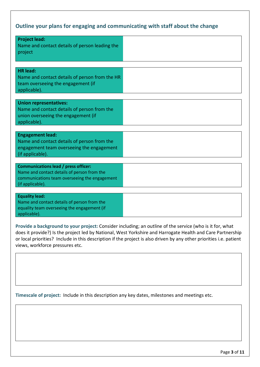# **Outline your plans for engaging and communicating with staff about the change**

| <b>Project lead:</b><br>Name and contact details of person leading the<br>project                                                                               |  |
|-----------------------------------------------------------------------------------------------------------------------------------------------------------------|--|
| <b>HR</b> lead:<br>Name and contact details of person from the HR<br>team overseeing the engagement (if<br>applicable).                                         |  |
| Union representatives:<br>Name and contact details of person from the<br>union overseeing the engagement (if<br>applicable).                                    |  |
| <b>Engagement lead:</b><br>Name and contact details of person from the<br>engagement team overseeing the engagement<br>(if applicable).                         |  |
| <b>Communications lead / press officer:</b><br>Name and contact details of person from the<br>communications team overseeing the engagement<br>(if applicable). |  |
| <b>Equality lead:</b><br>Name and contact details of person from the<br>equality team overseeing the engagement (if<br>applicable).                             |  |

**Provide a background to your project:** Consider including; an outline of the service (who is it for, what does it provide?) Is the project led by National, West Yorkshire and Harrogate Health and Care Partnership or local priorities? Include in this description if the project is also driven by any other priorities i.e. patient views, workforce pressures etc.

**Timescale of project:** Include in this description any key dates, milestones and meetings etc.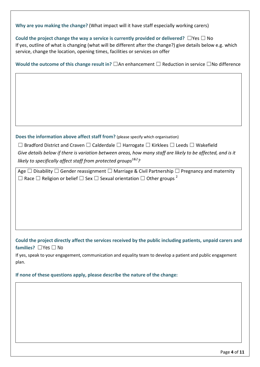**Why are you making the change?** (What impact will it have staff especially working carers)

**Could the project change the way a service is currently provided or delivered?** ☐Yes ☐ No

If yes, outline of what is changing (what will be different after the change?) give details below e.g. which service, change the location, opening times, facilities or services on offer

**Would the outcome of this change result in?** ☐An enhancement ☐ Reduction in service ☐No difference

**Does the information above affect staff from?** (please specify which organisation)

☐ Bradford District and Craven ☐ Calderdale ☐ Harrogate ☐ Kirklees ☐ Leeds ☐ Wakefield *Give details below if there is variation between areas, how many staff are likely to be affected, and is it likely to specifically affect staff from protected groups1&2?*

| Age $\Box$ Disability $\Box$ Gender reassignment $\Box$ Marriage & Civil Partnership $\Box$ Pregnancy and maternity |
|---------------------------------------------------------------------------------------------------------------------|
| □ Race □ Religion or belief □ Sex □ Sexual orientation □ Other groups <sup>2</sup>                                  |

# **Could the project directly affect the services received by the public including patients, unpaid carers and families?** ☐Yes ☐ No

If yes, speak to your engagement, communication and equality team to develop a patient and public engagement plan.

#### **If none of these questions apply, please describe the nature of the change:**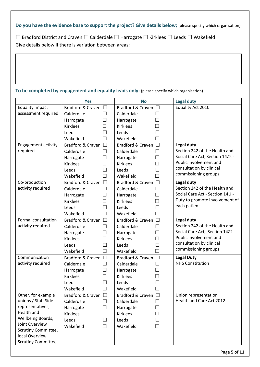**Do you have the evidence base to support the project? Give details below;** (please specify which organisation)

☐ Bradford District and Craven ☐ Calderdale ☐ Harrogate ☐ Kirklees ☐ Leeds ☐ Wakefield Give details below if there is variation between areas:

# **To be completed by engagement and equality leads only:** (please specify which organisation)

|                            | <b>Yes</b>                      | <b>No</b>                                   | <b>Legal duty</b>               |
|----------------------------|---------------------------------|---------------------------------------------|---------------------------------|
| Equality impact            | Bradford & Craven □             | Bradford & Craven □                         | Equality Act 2010               |
| assessment required        | Calderdale<br>$\Box$            | Calderdale                                  |                                 |
|                            | Harrogate<br>$\Box$             | Harrogate                                   |                                 |
|                            | <b>Kirklees</b><br>П            | <b>Kirklees</b><br>×.                       |                                 |
|                            | Leeds<br>$\Box$                 | Leeds                                       |                                 |
|                            | Wakefield<br>$\vert \ \ \vert$  | Wakefield                                   |                                 |
| <b>Engagement activity</b> | Bradford & Craven □             | Bradford & Craven □                         | Legal duty                      |
| required                   | Calderdale                      | Calderdale                                  | Section 242 of the Health and   |
|                            | Harrogate<br>$\Box$             | П<br>Harrogate                              | Social Care Act, Section 14Z2 - |
|                            | <b>Kirklees</b><br>$\Box$       | Kirklees                                    | Public involvement and          |
|                            | Leeds<br>$\Box$                 | Leeds                                       | consultation by clinical        |
|                            | Wakefield<br>$\Box$             | Wakefield                                   | commissioning groups            |
| Co-production              | Bradford & Craven □             | Bradford & Craven<br>$\Box$                 | Legal duty                      |
| activity required          | Calderdale<br>$\Box$            | Calderdale<br>$\vert \ \ \vert$             | Section 242 of the Health and   |
|                            | $\Box$<br>Harrogate             | Harrogate<br>$\mathcal{L}_{\mathcal{A}}$    | Social Care Act - Section 14U - |
|                            | <b>Kirklees</b><br>$\Box$       | <b>Kirklees</b><br>$\overline{\phantom{a}}$ | Duty to promote involvement of  |
|                            | $\Box$<br>Leeds                 | $\Box$<br>Leeds                             | each patient                    |
|                            | $\Box$<br>Wakefield             | Wakefield                                   |                                 |
| Formal consultation        | Bradford & Craven □             | Bradford & Craven<br>$\Box$                 | Legal duty                      |
| activity required          | Calderdale<br>$\Box$            | Calderdale                                  | Section 242 of the Health and   |
|                            | Harrogate<br>$\Box$             | Harrogate<br>$\mathbf{I}$                   | Social Care Act, Section 14Z2 - |
|                            | <b>Kirklees</b><br>П            | $\Box$<br><b>Kirklees</b>                   | Public involvement and          |
|                            | Leeds<br>$\Box$                 | Leeds<br>$\Box$                             | consultation by clinical        |
|                            | Wakefield<br>П                  | Wakefield                                   | commissioning groups            |
| Communication              | Bradford & Craven □             | Bradford & Craven □                         | <b>Legal Duty</b>               |
| activity required          | Calderdale<br>$\vert \ \ \vert$ | Calderdale                                  | <b>NHS Constitution</b>         |
|                            | $\Box$<br>Harrogate             | □<br>Harrogate                              |                                 |
|                            | <b>Kirklees</b><br>$\Box$       | <b>Kirklees</b><br>$\overline{\phantom{0}}$ |                                 |
|                            | Leeds<br>$\Box$                 | Leeds                                       |                                 |
|                            | Wakefield<br>$\Box$             | Wakefield                                   |                                 |
| Other, for example         | Bradford & Craven □             | Bradford & Craven □                         | Union representation            |
| unions / Staff Side        | Calderdale<br>$\Box$            | Calderdale<br>$\Box$                        | Health and Care Act 2012.       |
| representatives,           | $\Box$<br>Harrogate             | $\Box$<br>Harrogate                         |                                 |
| Health and                 | Kirklees<br>$\Box$              | <b>Kirklees</b><br>Ш                        |                                 |
| Wellbeing Boards,          | Leeds<br>$\Box$                 | Leeds<br>$\Box$                             |                                 |
| Joint Overview             | Wakefield<br>$\Box$             | Wakefield<br>П                              |                                 |
| Scrutiny Committee,        |                                 |                                             |                                 |
| local Overview             |                                 |                                             |                                 |
| <b>Scrutiny Committee</b>  |                                 |                                             |                                 |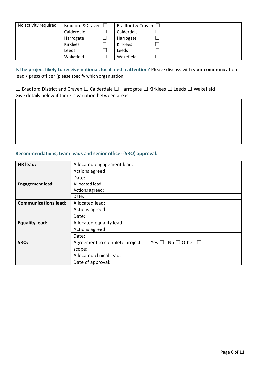| No activity required | Bradford & Craven $\Box$ |  | Bradford & Craven $\Box$ |  |
|----------------------|--------------------------|--|--------------------------|--|
|                      | Calderdale               |  | Calderdale               |  |
|                      | Harrogate                |  | Harrogate                |  |
|                      | <b>Kirklees</b>          |  | Kirklees                 |  |
|                      | Leeds                    |  | Leeds                    |  |
|                      | Wakefield                |  | Wakefield                |  |

**Is the project likely to receive national, local media attention?** Please discuss with your communication lead / press officer (please specify which organisation)

☐ Bradford District and Craven ☐ Calderdale ☐ Harrogate ☐ Kirklees ☐ Leeds ☐ Wakefield Give details below if there is variation between areas:

#### **Recommendations, team leads and senior officer (SRO) approval:**

| HR lead:                    | Allocated engagement lead:    |                                   |
|-----------------------------|-------------------------------|-----------------------------------|
|                             | Actions agreed:               |                                   |
|                             | Date:                         |                                   |
| <b>Engagement lead:</b>     | Allocated lead:               |                                   |
|                             | Actions agreed:               |                                   |
|                             | Date:                         |                                   |
| <b>Communications lead:</b> | Allocated lead:               |                                   |
|                             | Actions agreed:               |                                   |
|                             | Date:                         |                                   |
| <b>Equality lead:</b>       | Allocated equality lead:      |                                   |
|                             | Actions agreed:               |                                   |
|                             | Date:                         |                                   |
| SRO:                        | Agreement to complete project | Yes $\Box$ No $\Box$ Other $\Box$ |
|                             | scope:                        |                                   |
|                             | Allocated clinical lead:      |                                   |
|                             | Date of approval:             |                                   |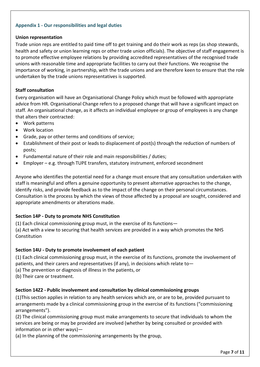#### **Appendix 1 - Our responsibilities and legal duties**

#### **Union representation**

Trade union reps are entitled to paid time off to get training and do their work as reps (as shop stewards, health and safety or union learning reps or other trade union officials). The objective of staff engagement is to promote effective employee relations by providing accredited representatives of the recognised trade unions with reasonable time and appropriate facilities to carry out their functions. We recognise the importance of working, in partnership, with the trade unions and are therefore keen to ensure that the role undertaken by the trade unions representatives is supported.

#### **Staff consultation**

Every organisation will have an Organisational Change Policy which must be followed with appropriate advice from HR. Organisational Change refers to a proposed change that will have a significant impact on staff. An organisational change, as it affects an individual employee or group of employees is any change that alters their contracted:

- Work patterns
- Work location
- Grade, pay or other terms and conditions of service;
- Establishment of their post or leads to displacement of post(s) through the reduction of numbers of posts;
- Fundamental nature of their role and main responsibilities / duties;
- Employer e.g. through TUPE transfers, statutory instrument, enforced secondment

Anyone who identifies the potential need for a change must ensure that any consultation undertaken with staff is meaningful and offers a genuine opportunity to present alternative approaches to the change, identify risks, and provide feedback as to the impact of the change on their personal circumstances. Consultation is the process by which the views of those affected by a proposal are sought, considered and appropriate amendments or alterations made.

#### **Section 14P - Duty to promote NHS Constitution**

(1) Each clinical commissioning group must, in the exercise of its functions— (a) Act with a view to securing that health services are provided in a way which promotes the NHS **Constitution** 

#### **Section 14U - Duty to promote involvement of each patient**

(1) Each clinical commissioning group must, in the exercise of its functions, promote the involvement of patients, and their carers and representatives (if any), in decisions which relate to—

- (a) The prevention or diagnosis of illness in the patients, or
- (b) Their care or treatment.

#### **Section 14Z2 - Public involvement and consultation by clinical commissioning groups**

(1)This section applies in relation to any health services which are, or are to be, provided pursuant to arrangements made by a clinical commissioning group in the exercise of its functions ("commissioning arrangements").

(2) The clinical commissioning group must make arrangements to secure that individuals to whom the services are being or may be provided are involved (whether by being consulted or provided with information or in other ways)—

(a) In the planning of the commissioning arrangements by the group,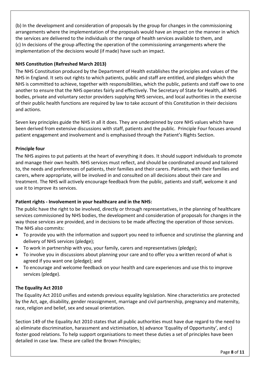(b) In the development and consideration of proposals by the group for changes in the commissioning arrangements where the implementation of the proposals would have an impact on the manner in which the services are delivered to the individuals or the range of health services available to them, and (c) In decisions of the group affecting the operation of the commissioning arrangements where the implementation of the decisions would (if made) have such an impact.

# **NHS Constitution (Refreshed March 2013)**

The NHS Constitution produced by the Department of Health establishes the principles and values of the NHS in England. It sets out rights to which patients, public and staff are entitled, and pledges which the NHS is committed to achieve, together with responsibilities, which the public, patients and staff owe to one another to ensure that the NHS operates fairly and effectively. The Secretary of State for Health, all NHS bodies, private and voluntary sector providers supplying NHS services, and local authorities in the exercise of their public health functions are required by law to take account of this Constitution in their decisions and actions.

Seven key principles guide the NHS in all it does. They are underpinned by core NHS values which have been derived from extensive discussions with staff, patients and the public. Principle Four focuses around patient engagement and involvement and is emphasised through the Patient's Rights Section.

# **Principle four**

The NHS aspires to put patients at the heart of everything it does. It should support individuals to promote and manage their own health. NHS services must reflect, and should be coordinated around and tailored to, the needs and preferences of patients, their families and their carers. Patients, with their families and carers, where appropriate, will be involved in and consulted on all decisions about their care and treatment. The NHS will actively encourage feedback from the public, patients and staff, welcome it and use it to improve its services.

# **Patient rights - Involvement in your healthcare and in the NHS:**

The public have the right to be involved, directly or through representatives, in the planning of healthcare services commissioned by NHS bodies, the development and consideration of proposals for changes in the way those services are provided, and in decisions to be made affecting the operation of those services. The NHS also commits:

- To provide you with the information and support you need to influence and scrutinise the planning and delivery of NHS services (pledge);
- To work in partnership with you, your family, carers and representatives (pledge);
- To involve you in discussions about planning your care and to offer you a written record of what is agreed if you want one (pledge); and
- To encourage and welcome feedback on your health and care experiences and use this to improve services (pledge).

# **The Equality Act 2010**

The Equality Act 2010 unifies and extends previous equality legislation. Nine characteristics are protected by the Act, age, disability, gender reassignment, marriage and civil partnership, pregnancy and maternity, race, religion and belief, sex and sexual orientation.

Section 149 of the Equality Act 2010 states that all public authorities must have due regard to the need to a) eliminate discrimination, harassment and victimisation, b) advance 'Equality of Opportunity', and c) foster good relations. To help support organisations to meet these duties a set of principles have been detailed in case law. These are called the Brown Principles;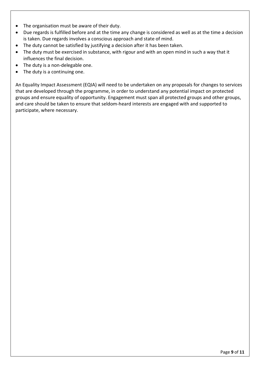- The organisation must be aware of their duty.
- Due regards is fulfilled before and at the time any change is considered as well as at the time a decision is taken. Due regards involves a conscious approach and state of mind.
- The duty cannot be satisfied by justifying a decision after it has been taken.
- The duty must be exercised in substance, with rigour and with an open mind in such a way that it influences the final decision.
- The duty is a non-delegable one.
- The duty is a continuing one.

An Equality Impact Assessment (EQIA) will need to be undertaken on any proposals for changes to services that are developed through the programme, in order to understand any potential impact on protected groups and ensure equality of opportunity. Engagement must span all protected groups and other groups, and care should be taken to ensure that seldom-heard interests are engaged with and supported to participate, where necessary.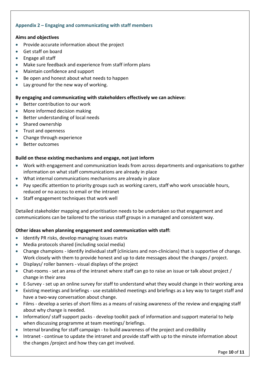#### **Appendix 2 – Engaging and communicating with staff members**

#### **Aims and objectives**

- Provide accurate information about the project
- Get staff on board
- Engage all staff
- Make sure feedback and experience from staff inform plans
- Maintain confidence and support
- Be open and honest about what needs to happen
- Lay ground for the new way of working.

# **By engaging and communicating with stakeholders effectively we can achieve:**

- Better contribution to our work
- More informed decision making
- Better understanding of local needs
- Shared ownership
- Trust and openness
- Change through experience
- Better outcomes

# **Build on these existing mechanisms and engage, not just inform**

- Work with engagement and communication leads from across departments and organisations to gather information on what staff communications are already in place
- What internal communications mechanisms are already in place
- Pay specific attention to priority groups such as working carers, staff who work unsociable hours, reduced or no access to email or the intranet
- Staff engagement techniques that work well

Detailed stakeholder mapping and prioritisation needs to be undertaken so that engagement and communications can be tailored to the various staff groups in a managed and consistent way.

# **Other ideas when planning engagement and communication with staff:**

- Identify PR risks, develop managing issues matrix
- Media protocols shared (including social media)
- Change champions Identify individual staff (clinicians and non-clinicians) that is supportive of change. Work closely with them to provide honest and up to date messages about the changes / project.
- Displays/ roller banners visual displays of the project
- Chat-rooms set an area of the intranet where staff can go to raise an issue or talk about project / change in their area
- E-Survey set up an online survey for staff to understand what they would change in their working area
- Existing meetings and briefings use established meetings and briefings as a key way to target staff and have a two-way conversation about change.
- Films develop a series of short films as a means of raising awareness of the review and engaging staff about why change is needed.
- Information/ staff support packs develop toolkit pack of information and support material to help when discussing programme at team meetings/ briefings.
- Internal branding for staff campaign to build awareness of the project and credibility
- Intranet continue to update the intranet and provide staff with up to the minute information about the changes /project and how they can get involved.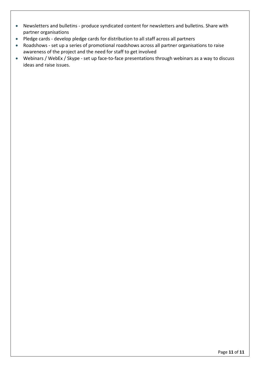- Newsletters and bulletins produce syndicated content for newsletters and bulletins. Share with partner organisations
- Pledge cards develop pledge cards for distribution to all staff across all partners
- Roadshows set up a series of promotional roadshows across all partner organisations to raise awareness of the project and the need for staff to get involved
- Webinars / WebEx / Skype set up face-to-face presentations through webinars as a way to discuss ideas and raise issues.